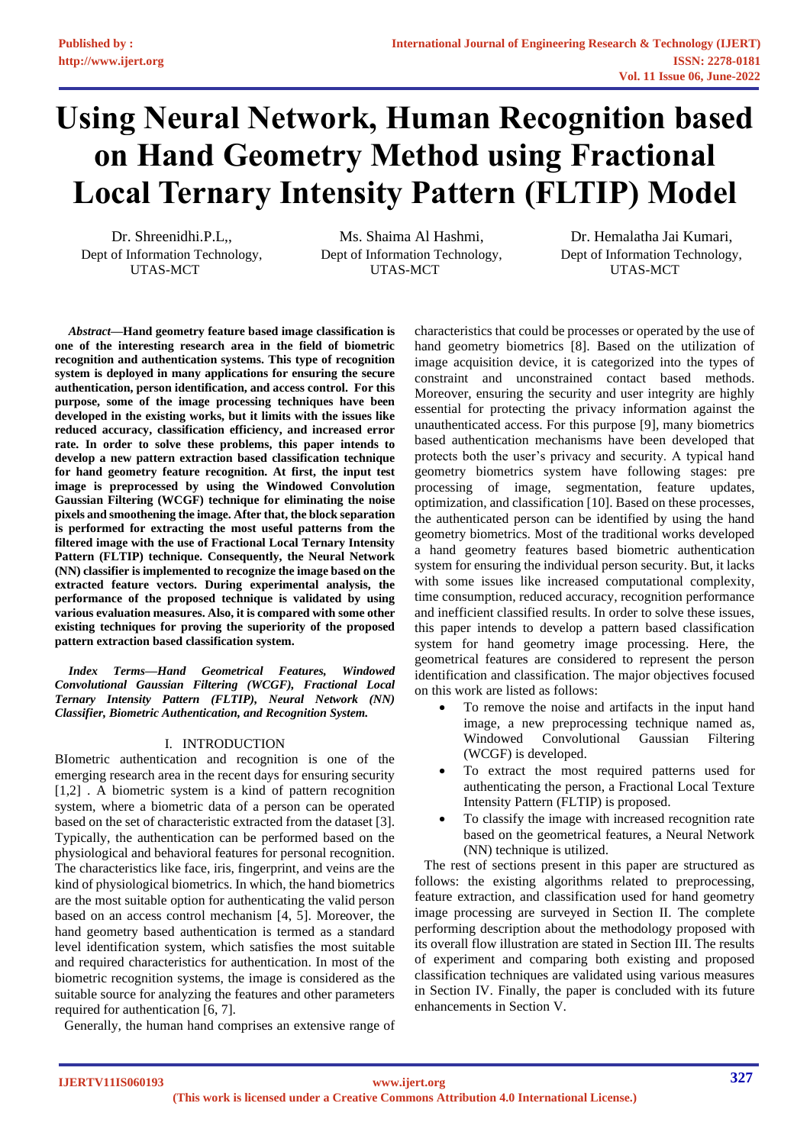# **Using Neural Network, Human Recognition based on Hand Geometry Method using Fractional Local Ternary Intensity Pattern (FLTIP) Model**

Dr. Shreenidhi.P.L,, Dept of Information Technology, UTAS-MCT

Ms. Shaima Al Hashmi, Dept of Information Technology, UTAS-MCT

Dr. Hemalatha Jai Kumari, Dept of Information Technology, UTAS-MCT

*Abstract***—Hand geometry feature based image classification is one of the interesting research area in the field of biometric recognition and authentication systems. This type of recognition system is deployed in many applications for ensuring the secure authentication, person identification, and access control. For this purpose, some of the image processing techniques have been developed in the existing works, but it limits with the issues like reduced accuracy, classification efficiency, and increased error rate. In order to solve these problems, this paper intends to develop a new pattern extraction based classification technique for hand geometry feature recognition. At first, the input test image is preprocessed by using the Windowed Convolution Gaussian Filtering (WCGF) technique for eliminating the noise pixels and smoothening the image. After that, the block separation is performed for extracting the most useful patterns from the filtered image with the use of Fractional Local Ternary Intensity Pattern (FLTIP) technique. Consequently, the Neural Network (NN) classifier is implemented to recognize the image based on the extracted feature vectors. During experimental analysis, the performance of the proposed technique is validated by using various evaluation measures. Also, it is compared with some other existing techniques for proving the superiority of the proposed pattern extraction based classification system.** 

*Index Terms—Hand Geometrical Features, Windowed Convolutional Gaussian Filtering (WCGF), Fractional Local Ternary Intensity Pattern (FLTIP), Neural Network (NN) Classifier, Biometric Authentication, and Recognition System.* 

# I. INTRODUCTION

BIometric authentication and recognition is one of the emerging research area in the recent days for ensuring security [1,2] . A biometric system is a kind of pattern recognition system, where a biometric data of a person can be operated based on the set of characteristic extracted from the dataset [3]. Typically, the authentication can be performed based on the physiological and behavioral features for personal recognition. The characteristics like face, iris, fingerprint, and veins are the kind of physiological biometrics. In which, the hand biometrics are the most suitable option for authenticating the valid person based on an access control mechanism [4, 5]. Moreover, the hand geometry based authentication is termed as a standard level identification system, which satisfies the most suitable and required characteristics for authentication. In most of the biometric recognition systems, the image is considered as the suitable source for analyzing the features and other parameters required for authentication [6, 7].

Generally, the human hand comprises an extensive range of

characteristics that could be processes or operated by the use of hand geometry biometrics [8]. Based on the utilization of image acquisition device, it is categorized into the types of constraint and unconstrained contact based methods. Moreover, ensuring the security and user integrity are highly essential for protecting the privacy information against the unauthenticated access. For this purpose [9], many biometrics based authentication mechanisms have been developed that protects both the user's privacy and security. A typical hand geometry biometrics system have following stages: pre processing of image, segmentation, feature updates, optimization, and classification [10]. Based on these processes, the authenticated person can be identified by using the hand geometry biometrics. Most of the traditional works developed a hand geometry features based biometric authentication system for ensuring the individual person security. But, it lacks with some issues like increased computational complexity, time consumption, reduced accuracy, recognition performance and inefficient classified results. In order to solve these issues, this paper intends to develop a pattern based classification system for hand geometry image processing. Here, the geometrical features are considered to represent the person identification and classification. The major objectives focused on this work are listed as follows:

- To remove the noise and artifacts in the input hand image, a new preprocessing technique named as, Windowed Convolutional Gaussian Filtering (WCGF) is developed.
- To extract the most required patterns used for authenticating the person, a Fractional Local Texture Intensity Pattern (FLTIP) is proposed.
- To classify the image with increased recognition rate based on the geometrical features, a Neural Network (NN) technique is utilized.

The rest of sections present in this paper are structured as follows: the existing algorithms related to preprocessing, feature extraction, and classification used for hand geometry image processing are surveyed in Section II. The complete performing description about the methodology proposed with its overall flow illustration are stated in Section III. The results of experiment and comparing both existing and proposed classification techniques are validated using various measures in Section IV. Finally, the paper is concluded with its future enhancements in Section V.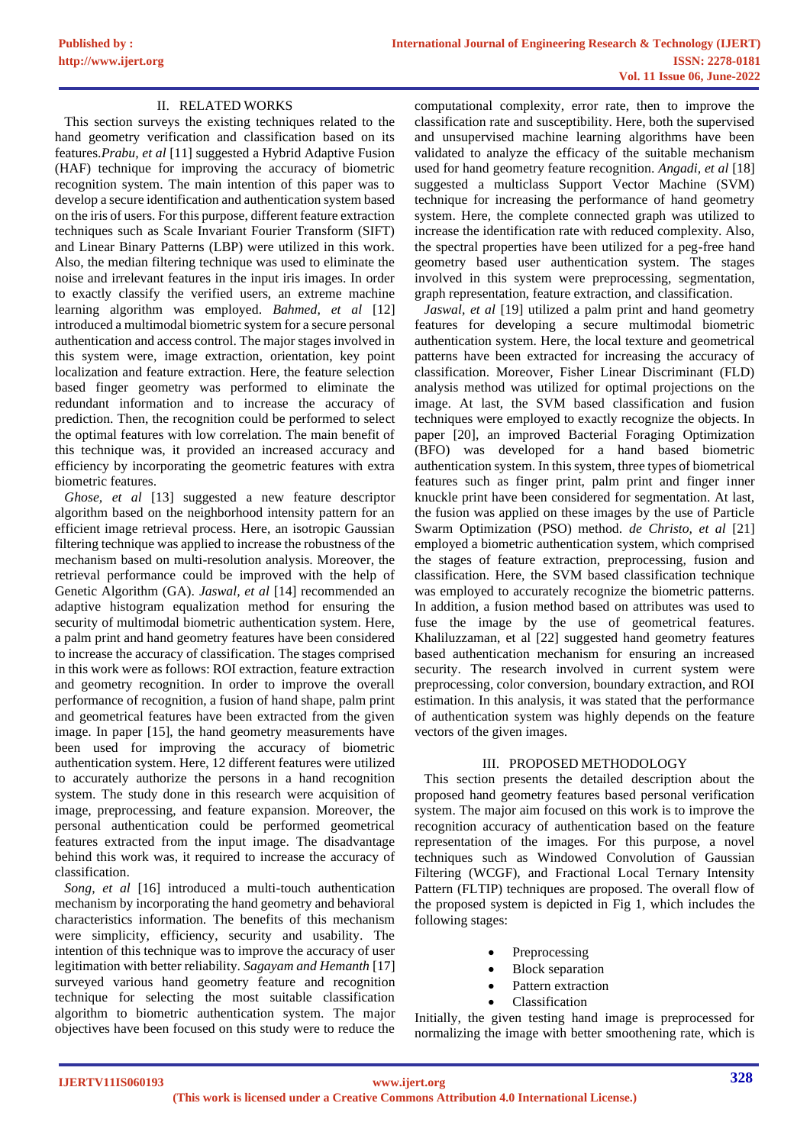# II. RELATED WORKS

This section surveys the existing techniques related to the hand geometry verification and classification based on its features.*Prabu, et al* [11] suggested a Hybrid Adaptive Fusion (HAF) technique for improving the accuracy of biometric recognition system. The main intention of this paper was to develop a secure identification and authentication system based on the iris of users. For this purpose, different feature extraction techniques such as Scale Invariant Fourier Transform (SIFT) and Linear Binary Patterns (LBP) were utilized in this work. Also, the median filtering technique was used to eliminate the noise and irrelevant features in the input iris images. In order to exactly classify the verified users, an extreme machine learning algorithm was employed. *Bahmed, et al* [12] introduced a multimodal biometric system for a secure personal authentication and access control. The major stages involved in this system were, image extraction, orientation, key point localization and feature extraction. Here, the feature selection based finger geometry was performed to eliminate the redundant information and to increase the accuracy of prediction. Then, the recognition could be performed to select the optimal features with low correlation. The main benefit of this technique was, it provided an increased accuracy and efficiency by incorporating the geometric features with extra biometric features.

*Ghose, et al* [13] suggested a new feature descriptor algorithm based on the neighborhood intensity pattern for an efficient image retrieval process. Here, an isotropic Gaussian filtering technique was applied to increase the robustness of the mechanism based on multi-resolution analysis. Moreover, the retrieval performance could be improved with the help of Genetic Algorithm (GA). *Jaswal, et al* [14] recommended an adaptive histogram equalization method for ensuring the security of multimodal biometric authentication system. Here, a palm print and hand geometry features have been considered to increase the accuracy of classification. The stages comprised in this work were as follows: ROI extraction, feature extraction and geometry recognition. In order to improve the overall performance of recognition, a fusion of hand shape, palm print and geometrical features have been extracted from the given image. In paper [15], the hand geometry measurements have been used for improving the accuracy of biometric authentication system. Here, 12 different features were utilized to accurately authorize the persons in a hand recognition system. The study done in this research were acquisition of image, preprocessing, and feature expansion. Moreover, the personal authentication could be performed geometrical features extracted from the input image. The disadvantage behind this work was, it required to increase the accuracy of classification.

*Song, et al* [16] introduced a multi-touch authentication mechanism by incorporating the hand geometry and behavioral characteristics information. The benefits of this mechanism were simplicity, efficiency, security and usability. The intention of this technique was to improve the accuracy of user legitimation with better reliability. *Sagayam and Hemanth* [17] surveyed various hand geometry feature and recognition technique for selecting the most suitable classification algorithm to biometric authentication system. The major objectives have been focused on this study were to reduce the

computational complexity, error rate, then to improve the classification rate and susceptibility. Here, both the supervised and unsupervised machine learning algorithms have been validated to analyze the efficacy of the suitable mechanism used for hand geometry feature recognition. *Angadi, et al* [18] suggested a multiclass Support Vector Machine (SVM) technique for increasing the performance of hand geometry system. Here, the complete connected graph was utilized to increase the identification rate with reduced complexity. Also, the spectral properties have been utilized for a peg-free hand geometry based user authentication system. The stages involved in this system were preprocessing, segmentation, graph representation, feature extraction, and classification.

*Jaswal, et al* [19] utilized a palm print and hand geometry features for developing a secure multimodal biometric authentication system. Here, the local texture and geometrical patterns have been extracted for increasing the accuracy of classification. Moreover, Fisher Linear Discriminant (FLD) analysis method was utilized for optimal projections on the image. At last, the SVM based classification and fusion techniques were employed to exactly recognize the objects. In paper [20], an improved Bacterial Foraging Optimization (BFO) was developed for a hand based biometric authentication system. In this system, three types of biometrical features such as finger print, palm print and finger inner knuckle print have been considered for segmentation. At last, the fusion was applied on these images by the use of Particle Swarm Optimization (PSO) method. *de Christo, et al* [21] employed a biometric authentication system, which comprised the stages of feature extraction, preprocessing, fusion and classification. Here, the SVM based classification technique was employed to accurately recognize the biometric patterns. In addition, a fusion method based on attributes was used to fuse the image by the use of geometrical features. Khaliluzzaman, et al [22] suggested hand geometry features based authentication mechanism for ensuring an increased security. The research involved in current system were preprocessing, color conversion, boundary extraction, and ROI estimation. In this analysis, it was stated that the performance of authentication system was highly depends on the feature vectors of the given images.

# III. PROPOSED METHODOLOGY

This section presents the detailed description about the proposed hand geometry features based personal verification system. The major aim focused on this work is to improve the recognition accuracy of authentication based on the feature representation of the images. For this purpose, a novel techniques such as Windowed Convolution of Gaussian Filtering (WCGF), and Fractional Local Ternary Intensity Pattern (FLTIP) techniques are proposed. The overall flow of the proposed system is depicted in Fig 1, which includes the following stages:

- **Preprocessing**
- **Block** separation
- Pattern extraction
- Classification

Initially, the given testing hand image is preprocessed for normalizing the image with better smoothening rate, which is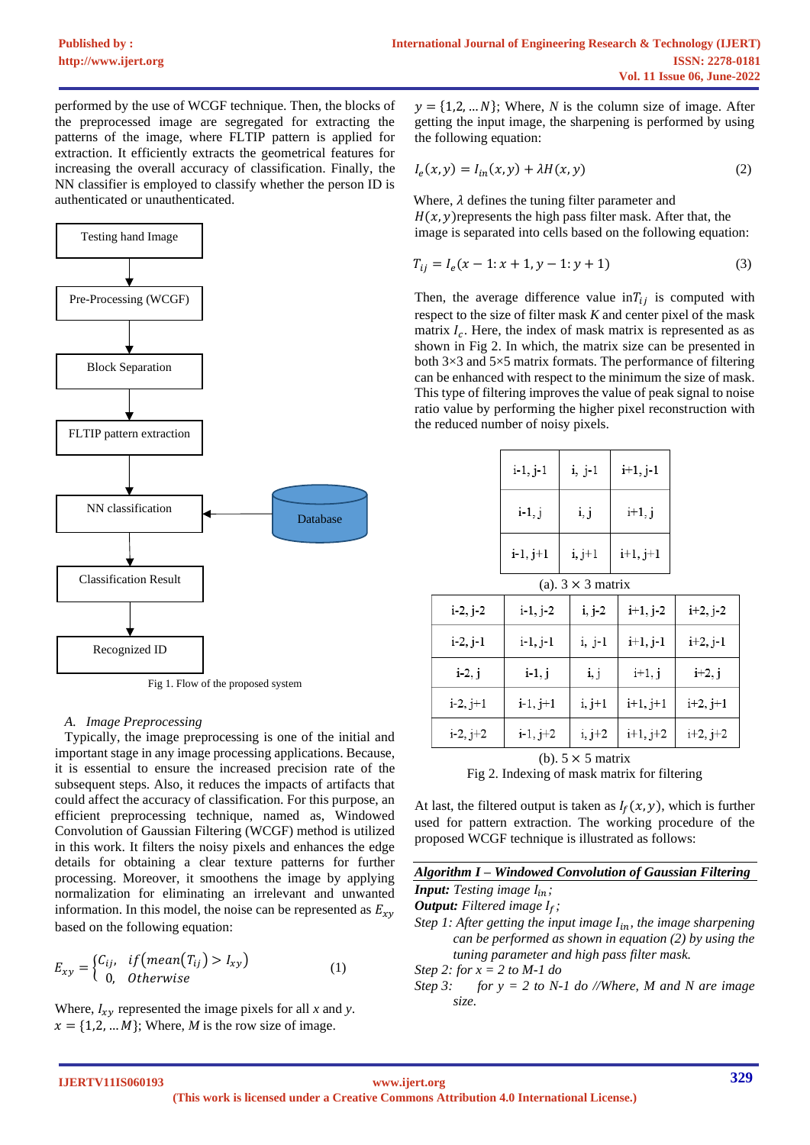performed by the use of WCGF technique. Then, the blocks of the preprocessed image are segregated for extracting the patterns of the image, where FLTIP pattern is applied for extraction. It efficiently extracts the geometrical features for increasing the overall accuracy of classification. Finally, the NN classifier is employed to classify whether the person ID is authenticated or unauthenticated.



# *A. Image Preprocessing*

Typically, the image preprocessing is one of the initial and important stage in any image processing applications. Because, it is essential to ensure the increased precision rate of the subsequent steps. Also, it reduces the impacts of artifacts that could affect the accuracy of classification. For this purpose, an efficient preprocessing technique, named as, Windowed Convolution of Gaussian Filtering (WCGF) method is utilized in this work. It filters the noisy pixels and enhances the edge details for obtaining a clear texture patterns for further processing. Moreover, it smoothens the image by applying normalization for eliminating an irrelevant and unwanted information. In this model, the noise can be represented as  $E_{xy}$ based on the following equation:

$$
E_{xy} = \begin{cases} C_{ij}, & if \left( mean(T_{ij}) > I_{xy} \right) \\ 0, & Otherwise \end{cases}
$$
 (1)

Where,  $I_{xy}$  represented the image pixels for all *x* and *y*.  $x = \{1,2,...,M\}$ ; Where, *M* is the row size of image.

 $y = \{1, 2, ..., N\}$ ; Where, *N* is the column size of image. After getting the input image, the sharpening is performed by using the following equation:

$$
I_e(x, y) = I_{in}(x, y) + \lambda H(x, y)
$$
\n(2)

Where,  $\lambda$  defines the tuning filter parameter and  $H(x, y)$  represents the high pass filter mask. After that, the image is separated into cells based on the following equation:

$$
T_{ij} = I_e(x - 1; x + 1, y - 1; y + 1)
$$
\n(3)

Then, the average difference value  $\inf_{i}$  is computed with respect to the size of filter mask *K* and center pixel of the mask matrix  $I_c$ . Here, the index of mask matrix is represented as as shown in Fig 2. In which, the matrix size can be presented in both 3×3 and 5×5 matrix formats. The performance of filtering can be enhanced with respect to the minimum the size of mask. This type of filtering improves the value of peak signal to noise ratio value by performing the higher pixel reconstruction with the reduced number of noisy pixels.

|                          | $i-1, j-1$ | i, j-1   | $i+1, j-1$ |  |  |
|--------------------------|------------|----------|------------|--|--|
|                          | $i-1, j$   | i, j     | $i+1, j$   |  |  |
|                          | $i-1, j+1$ | $i, j+1$ | $i+1, j+1$ |  |  |
| (a). $3 \times 3$ matrix |            |          |            |  |  |

| $i-2, j-2$ | $i-1, j-2$ | $i, j-2$ | $i+1, j-2$ | $i+2, j-2$ |
|------------|------------|----------|------------|------------|
| $i-2, j-1$ | i-1, j-1   | $i, j-1$ | $i+1, j-1$ | $i+2, j-1$ |
| $i-2, j$   | $i-1, j$   | i, j     | $i+1, j$   | $i+2, j$   |
| $i-2, j+1$ | $i-1, j+1$ | $i, j+1$ | $i+1, j+1$ | $i+2, j+1$ |
| $i-2, j+2$ | $i-1, j+2$ | i, j+2   | $i+1, j+2$ | $i+2, j+2$ |

(b).  $5 \times 5$  matrix Fig 2. Indexing of mask matrix for filtering

At last, the filtered output is taken as  $I_f(x, y)$ , which is further used for pattern extraction. The working procedure of the proposed WCGF technique is illustrated as follows:

|--|

*Input: Testing image*  $I_{in}$ *; Output: Filtered image*  $I_f$ ; *Step 1: After getting the input image*  $I_{in}$ *, the image sharpening can be performed as shown in equation (2) by using the tuning parameter and high pass filter mask. Step 2: for x = 2 to M-1 do*

*Step 3: for y = 2 to N-1 do //Where, M and N are image size.*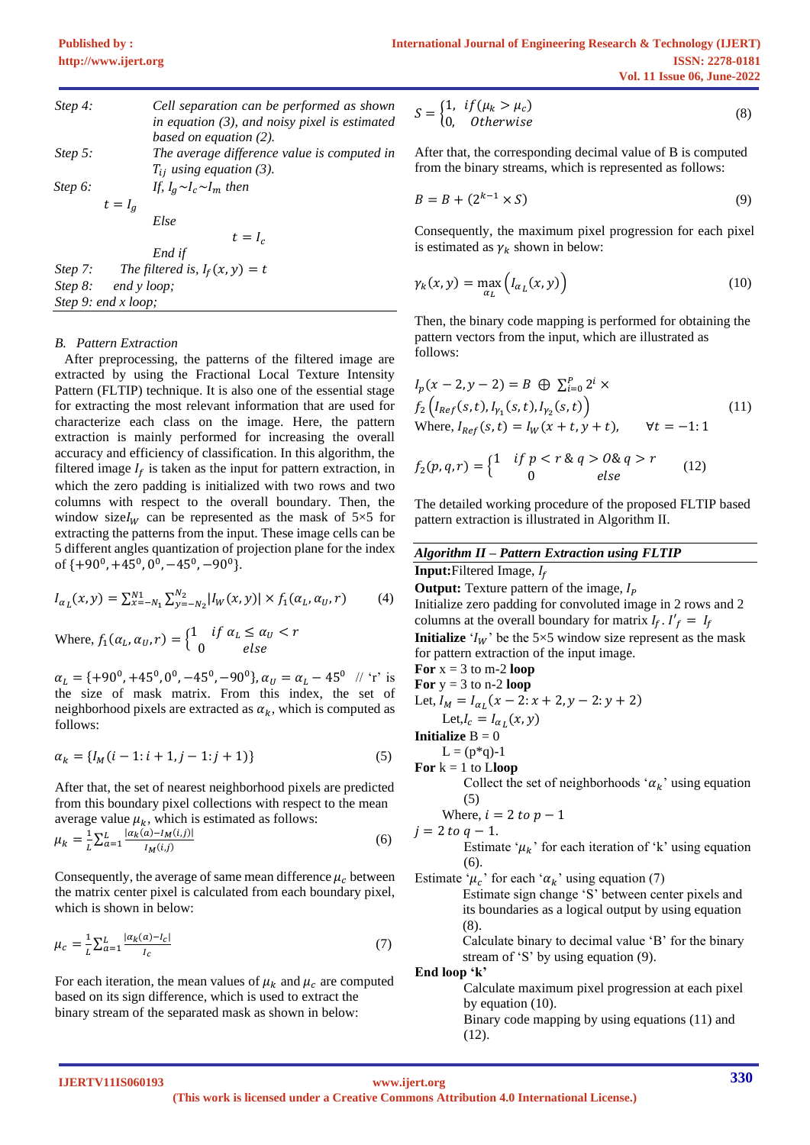| Step 4: |                     | Cell separation can be performed as shown<br>in equation $(3)$ , and noisy pixel is estimated<br>based on equation $(2)$ . |
|---------|---------------------|----------------------------------------------------------------------------------------------------------------------------|
| Step 5: |                     | The average difference value is computed in                                                                                |
|         |                     | $T_{ij}$ using equation (3).                                                                                               |
| Step 6: |                     | If, $I_a \sim I_c \sim I_m$ then                                                                                           |
|         | $t = I_a$           |                                                                                                                            |
|         |                     | Else                                                                                                                       |
|         |                     | $t = I_c$                                                                                                                  |
|         |                     | End if                                                                                                                     |
| Step 7: |                     | The filtered is, $I_f(x, y) = t$                                                                                           |
|         | Step 8: end y loop; |                                                                                                                            |
|         | Step 9: end x loop; |                                                                                                                            |

#### *B. Pattern Extraction*

After preprocessing, the patterns of the filtered image are extracted by using the Fractional Local Texture Intensity Pattern (FLTIP) technique. It is also one of the essential stage for extracting the most relevant information that are used for characterize each class on the image. Here, the pattern extraction is mainly performed for increasing the overall accuracy and efficiency of classification. In this algorithm, the filtered image  $I_f$  is taken as the input for pattern extraction, in which the zero padding is initialized with two rows and two columns with respect to the overall boundary. Then, the window size  $I_W$  can be represented as the mask of 5×5 for extracting the patterns from the input. These image cells can be 5 different angles quantization of projection plane for the index of  $\{+90^0, +45^0, 0^0, -45^0, -90^0\}$ .

$$
I_{\alpha_L}(x, y) = \sum_{x=-N_1}^{N_1} \sum_{y=-N_2}^{N_2} |I_W(x, y)| \times f_1(\alpha_L, \alpha_U, r)
$$
 (4)

Where,  $f_1(\alpha_L, \alpha_U, r) = \begin{cases} 1 & \text{if } \alpha_L \leq \alpha_U < r \\ 0 & \text{else} \end{cases}$ 0 else

 $\alpha_L = {\{+90^0, +45^0, 0^0, -45^0, -90^0\}}, \alpha_U = \alpha_L - 45^0$  // 'r' is the size of mask matrix. From this index, the set of neighborhood pixels are extracted as  $\alpha_k$ , which is computed as follows:

$$
\alpha_k = \{I_M(i-1:i+1,j-1:j+1)\}\tag{5}
$$

After that, the set of nearest neighborhood pixels are predicted from this boundary pixel collections with respect to the mean average value  $u_k$ , which is estimated as follows:

$$
\mu_k = \frac{1}{L} \sum_{a=1}^{L} \frac{|\alpha_k(a) - I_M(i,j)|}{I_M(i,j)}
$$
(6)

Consequently, the average of same mean difference  $\mu_c$  between the matrix center pixel is calculated from each boundary pixel, which is shown in below:

$$
\mu_c = \frac{1}{L} \sum_{a=1}^{L} \frac{|a_k(a) - I_c|}{I_c} \tag{7}
$$

For each iteration, the mean values of  $\mu_k$  and  $\mu_c$  are computed based on its sign difference, which is used to extract the binary stream of the separated mask as shown in below:

$$
S = \begin{cases} 1, & if (\mu_k > \mu_c) \\ 0, & Otherwise \end{cases}
$$
 (8)

After that, the corresponding decimal value of B is computed from the binary streams, which is represented as follows:

$$
B = B + (2^{k-1} \times S) \tag{9}
$$

Consequently, the maximum pixel progression for each pixel is estimated as  $\gamma_k$  shown in below:

$$
\gamma_k(x, y) = \max_{a_L} \left( I_{a_L}(x, y) \right) \tag{10}
$$

Then, the binary code mapping is performed for obtaining the pattern vectors from the input, which are illustrated as follows:

$$
I_p(x - 2, y - 2) = B \oplus \sum_{i=0}^{p} 2^i \times f_2(I_{Ref}(s, t), I_{\gamma_1}(s, t), I_{\gamma_2}(s, t))
$$
  
Where,  $I_{Ref}(s, t) = I_W(x + t, y + t)$ ,  $\forall t = -1: 1$  (11)

$$
f_2(p,q,r) = \begin{cases} 1 & \text{if } p < r \& q > 0 \& q > r \\ 0 & \text{else} \end{cases} \tag{12}
$$

The detailed working procedure of the proposed FLTIP based pattern extraction is illustrated in Algorithm II.

| <b>Algorithm II - Pattern Extraction using FLTIP</b>                     |  |  |  |  |
|--------------------------------------------------------------------------|--|--|--|--|
| <b>Input:</b> Filtered Image, $I_f$                                      |  |  |  |  |
| <b>Output:</b> Texture pattern of the image, $I_p$                       |  |  |  |  |
| Initialize zero padding for convoluted image in 2 rows and 2             |  |  |  |  |
| columns at the overall boundary for matrix $I_f$ . $I'_f = I_f$          |  |  |  |  |
| <b>Initialize</b> ' $I_W$ ' be the 5×5 window size represent as the mask |  |  |  |  |
| for pattern extraction of the input image.                               |  |  |  |  |
| For $x = 3$ to m-2 loop                                                  |  |  |  |  |
| For $y = 3$ to n-2 loop                                                  |  |  |  |  |
| Let, $I_M = I_{\alpha_L}(x - 2 \colon x + 2, y - 2 \colon y + 2)$        |  |  |  |  |
| Let, $I_c = I_{\alpha_i}(x, y)$                                          |  |  |  |  |
| <b>Initialize</b> $B = 0$                                                |  |  |  |  |
| $L = (p * q) - 1$                                                        |  |  |  |  |
| For $k = 1$ to Lloop                                                     |  |  |  |  |
| Collect the set of neighborhoods ' $\alpha_k$ ' using equation           |  |  |  |  |
| (5)                                                                      |  |  |  |  |
| Where, $i = 2$ to $p - 1$                                                |  |  |  |  |
| $j = 2 to q - 1.$                                                        |  |  |  |  |
| Estimate ' $\mu_k$ ' for each iteration of 'k' using equation            |  |  |  |  |
| (6).                                                                     |  |  |  |  |
| Estimate ' $\mu_c$ ' for each ' $\alpha_k$ ' using equation (7)          |  |  |  |  |
| Estimate sign change 'S' between center pixels and                       |  |  |  |  |
| its boundaries as a logical output by using equation                     |  |  |  |  |
| (8).                                                                     |  |  |  |  |
| Calculate binary to decimal value 'B' for the binary                     |  |  |  |  |
| stream of 'S' by using equation $(9)$ .                                  |  |  |  |  |
| End loop 'k'                                                             |  |  |  |  |
| Calculate maximum pixel progression at each pixel                        |  |  |  |  |
| by equation $(10)$ .                                                     |  |  |  |  |
| Binary code mapping by using equations (11) and                          |  |  |  |  |
| (12).                                                                    |  |  |  |  |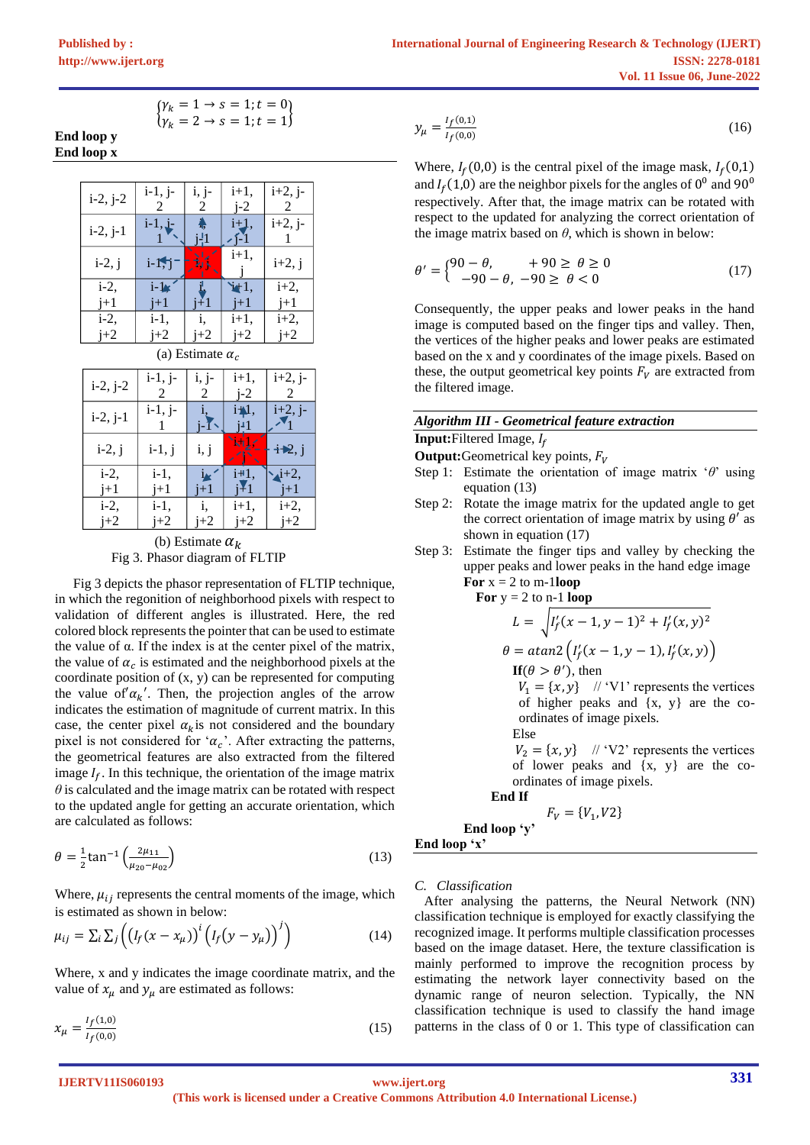$$
\begin{cases}\n\gamma_k = 1 \to s = 1; t = 0 \\
\gamma_k = 2 \to s = 1; t = 1\n\end{cases}
$$

**End loop y End loop x**



| $i-2, j-2$ | $i-1, j-$<br>2 | i, j-<br>2 | $i+1$ ,<br>$i-2$ | $i+2, j-$<br>2              |
|------------|----------------|------------|------------------|-----------------------------|
| $i-2, j-1$ | $i-1, j-$      |            | i∗Al,            | $i+2, j-$                   |
| $i-2, j$   | $i-1, j$       | i, j       |                  | $i\blacktriangleright 2, j$ |
| $i-2$ ,    | i-1.           |            | i#1.             | $\lambda$ i+2,              |
| $i+1$      | i+1            | $i+1$      | i 41             | i+1                         |
| $i-2$      | $i-1$ .        | i.         | i+1.             | i+2,                        |
| $j+2$      | $1+2$          | $+2$       | $i+2$            | $j+2$                       |
|            |                |            |                  |                             |

(b) Estimate  $\alpha_k$ Fig 3. Phasor diagram of FLTIP

Fig 3 depicts the phasor representation of FLTIP technique, in which the regonition of neighborhood pixels with respect to validation of different angles is illustrated. Here, the red colored block represents the pointer that can be used to estimate the value of α. If the index is at the center pixel of the matrix, the value of  $\alpha_c$  is estimated and the neighborhood pixels at the coordinate position of  $(x, y)$  can be represented for computing the value of' $\alpha_k'$ . Then, the projection angles of the arrow indicates the estimation of magnitude of current matrix. In this case, the center pixel  $\alpha_k$  is not considered and the boundary pixel is not considered for ' $\alpha_c$ '. After extracting the patterns, the geometrical features are also extracted from the filtered image  $I_f$ . In this technique, the orientation of the image matrix  $\theta$  is calculated and the image matrix can be rotated with respect to the updated angle for getting an accurate orientation, which are calculated as follows:

$$
\theta = \frac{1}{2} \tan^{-1} \left( \frac{2\mu_{11}}{\mu_{20} - \mu_{02}} \right) \tag{13}
$$

Where,  $\mu_{ij}$  represents the central moments of the image, which is estimated as shown in below:

$$
\mu_{ij} = \sum_{i} \sum_{j} \left( \left( I_f(x - x_{\mu}) \right)^{i} \left( I_f(y - y_{\mu}) \right)^{j} \right) \tag{14}
$$

Where, x and y indicates the image coordinate matrix, and the value of  $x_u$  and  $y_u$  are estimated as follows:

$$
x_{\mu} = \frac{I_f(1,0)}{I_f(0,0)}\tag{15}
$$

$$
y_{\mu} = \frac{I_f(0,1)}{I_f(0,0)}\tag{16}
$$

Where,  $I_f(0,0)$  is the central pixel of the image mask,  $I_f(0,1)$ and  $I_f(1,0)$  are the neighbor pixels for the angles of  $0^0$  and  $90^0$ respectively. After that, the image matrix can be rotated with respect to the updated for analyzing the correct orientation of the image matrix based on  $\theta$ , which is shown in below:

$$
\theta' = \begin{cases} 90 - \theta, & +90 \ge \theta \ge 0 \\ -90 - \theta, & -90 \ge \theta < 0 \end{cases} \tag{17}
$$

Consequently, the upper peaks and lower peaks in the hand image is computed based on the finger tips and valley. Then, the vertices of the higher peaks and lower peaks are estimated based on the x and y coordinates of the image pixels. Based on these, the output geometrical key points  $F_V$  are extracted from the filtered image.

**Input:**Filtered Image,

 $\mathbf{For}$ 

**Output:**Geometrical key points,  $F_V$ 

- Step 1: Estimate the orientation of image matrix '*θ*' using equation (13)
- Step 2: Rotate the image matrix for the updated angle to get the correct orientation of image matrix by using  $\theta'$  as shown in equation (17)
- Step 3: Estimate the finger tips and valley by checking the upper peaks and lower peaks in the hand edge image **For**  $x = 2$  to m-1**loop**

$$
L = \sqrt{I_f'(x - 1, y - 1)^2 + I_f'(x, y)^2}
$$
  
\n
$$
L = \sqrt{I_f'(x - 1, y - 1)^2 + I_f'(x, y)^2}
$$
  
\n
$$
\theta = \alpha \tan 2 \left( I_f'(x - 1, y - 1), I_f'(x, y) \right)
$$
  
\nIf  $(\theta > \theta')$ , then  
\n
$$
V_1 = \{x, y\} \quad \text{/} \quad \text{/} \quad \text{/} \quad \text{/} \quad \text{/} \quad \text{/} \quad \text{/} \quad \text{/} \quad \text{/} \quad \text{/} \quad \text{/} \quad \text{/} \quad \text{/} \quad \text{/} \quad \text{/} \quad \text{/} \quad \text{/} \quad \text{/} \quad \text{/} \quad \text{/} \quad \text{/} \quad \text{/} \quad \text{/} \quad \text{/} \quad \text{/} \quad \text{/} \quad \text{/} \quad \text{/} \quad \text{/} \quad \text{/} \quad \text{/} \quad \text{/} \quad \text{/} \quad \text{/} \quad \text{/} \quad \text{/} \quad \text{/} \quad \text{/} \quad \text{/} \quad \text{/} \quad \text{/} \quad \text{/} \quad \text{/} \quad \text{/} \quad \text{/} \quad \text{/} \quad \text{/} \quad \text{/} \quad \text{/} \quad \text{/} \quad \text{/} \quad \text{/} \quad \text{/} \quad \text{/} \quad \text{/} \quad \text{/} \quad \text{/} \quad \text{/} \quad \text{/} \quad \text{/} \quad \text{/} \quad \text{/} \quad \text{/} \quad \text{/} \quad \text{/} \quad \text{/} \quad \text{/} \quad \text{/} \quad \text{/} \quad \text{/} \quad \text{/} \quad \text{/} \quad \text{/} \quad \text{/} \quad \text{/} \quad \text{/} \quad \text{/} \quad \text{/} \quad \text{/} \quad \text{/} \quad \text{/} \quad \text{/} \quad \text{/} \quad \text{/} \quad \text{/} \quad \text{/} \quad \text{/} \quad \text{/} \quad \text{/} \quad \text{/} \quad \text{/} \quad \text{/} \quad \text{/} \quad \text{/} \quad \text{/} \quad \text{/} \quad \text{/} \quad \text{/} \quad \text{/} \quad \text{/} \quad \text{/} \
$$

of higher peaks and {x, y} are the coordinates of image pixels. Else

 $V_2 = \{x, y\}$  // 'V2' represents the vertices of lower peaks and {x, y} are the coordinates of image pixels.

 **End If**

$$
F_V = \{V_1, V2\}
$$

**End loop 'y' End loop 'x'**

# *C. Classification*

After analysing the patterns, the Neural Network (NN) classification technique is employed for exactly classifying the recognized image. It performs multiple classification processes based on the image dataset. Here, the texture classification is mainly performed to improve the recognition process by estimating the network layer connectivity based on the dynamic range of neuron selection. Typically, the NN classification technique is used to classify the hand image patterns in the class of 0 or 1. This type of classification can

**IJERTV11IS060193**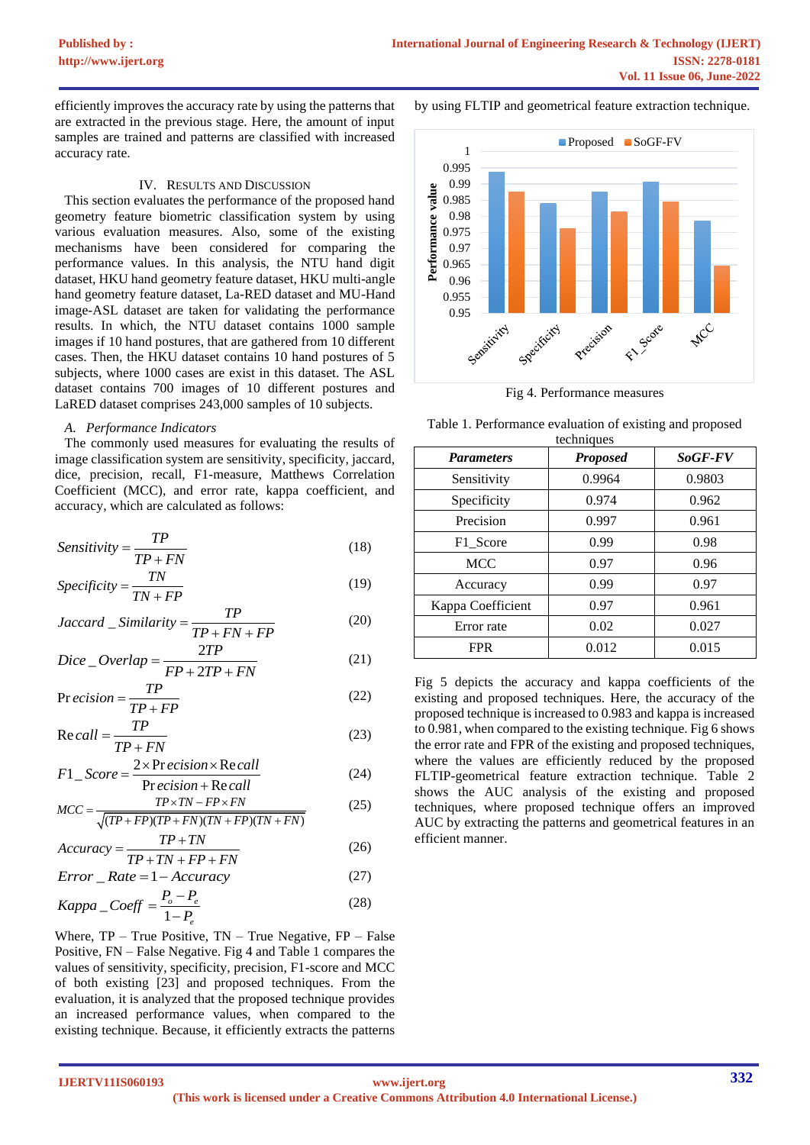efficiently improves the accuracy rate by using the patterns that are extracted in the previous stage. Here, the amount of input samples are trained and patterns are classified with increased accuracy rate.

#### IV. RESULTS AND DISCUSSION

This section evaluates the performance of the proposed hand geometry feature biometric classification system by using various evaluation measures. Also, some of the existing mechanisms have been considered for comparing the performance values. In this analysis, the NTU hand digit dataset, HKU hand geometry feature dataset, HKU multi-angle hand geometry feature dataset, La-RED dataset and MU-Hand image-ASL dataset are taken for validating the performance results. In which, the NTU dataset contains 1000 sample images if 10 hand postures, that are gathered from 10 different cases. Then, the HKU dataset contains 10 hand postures of 5 subjects, where 1000 cases are exist in this dataset. The ASL dataset contains 700 images of 10 different postures and LaRED dataset comprises 243,000 samples of 10 subjects.

#### *A. Performance Indicators*

The commonly used measures for evaluating the results of image classification system are sensitivity, specificity, jaccard, dice, precision, recall, F1-measure, Matthews Correlation Coefficient (MCC), and error rate, kappa coefficient, and accuracy, which are calculated as follows:

$$
Sensitivity = \frac{TP}{TP + FN}
$$
 (18)

$$
Specificity = \frac{TN}{TN + FP}
$$
 (19)

$$
1N + FF
$$
  

$$
Jaccard \text{ }_S\text{.}
$$
  

$$
Similarity = \frac{TP}{TP + FN + FP}
$$
 (20)

$$
Dice\_Overallap = \frac{2TP}{FP + 2TP + FN}
$$
 (21)

$$
Pr\,ecision = \frac{TP}{TP + FP} \tag{22}
$$

$$
Recall = \frac{TP}{TP + FN}
$$
 (23)

$$
TP + FN
$$
  
\n
$$
F1\_Score = \frac{2 \times Precision \times Recall}{Precision + Recall}
$$
 (24)  
\n
$$
MCC = \frac{TP \times TN - FP \times FN}{P} \qquad (25)
$$

$$
F1\_Score = \frac{Precision + Recall}{Precision + Recall}
$$
(24)  

$$
MCC = \frac{TP \times TN - FP \times FN}{\sqrt{(TP + FP)(TP + FN)(TN + FP)(TN + FN)}}
$$
(25)

$$
\sqrt{(IP+FP)(IP+FN)(IN+FP)(IN+FN)}
$$
  
Accuracy = 
$$
\frac{TP + TN}{TP + TN + FP + FN}
$$
 (26)

$$
TP + TN + FP + FN
$$
  
*Error Rate* = 1 – Accuracy (27)

$$
Kappa\_Coeff = \frac{P_o - P_e}{1 - P_e}
$$
 (28)

Where,  $TP - True$  Positive,  $TN - True$  Negative,  $FP - False$ Positive, FN – False Negative. Fig 4 and Table 1 compares the values of sensitivity, specificity, precision, F1-score and MCC of both existing [23] and proposed techniques. From the evaluation, it is analyzed that the proposed technique provides an increased performance values, when compared to the existing technique. Because, it efficiently extracts the patterns by using FLTIP and geometrical feature extraction technique.



Fig 4. Performance measures

| <b>Parameters</b> | <b>Proposed</b> | SoGF-FV |
|-------------------|-----------------|---------|
| Sensitivity       | 0.9964          | 0.9803  |
| Specificity       | 0.974           | 0.962   |
| Precision         | 0.997           | 0.961   |
| F1_Score          | 0.99            | 0.98    |
| <b>MCC</b>        | 0.97            | 0.96    |
| Accuracy          | 0.99            | 0.97    |
| Kappa Coefficient | 0.97            | 0.961   |
| Error rate        | 0.02            | 0.027   |
| <b>FPR</b>        | 0.012           | 0.015   |

Table 1. Performance evaluation of existing and proposed techniques

Fig 5 depicts the accuracy and kappa coefficients of the existing and proposed techniques. Here, the accuracy of the proposed technique is increased to 0.983 and kappa is increased to 0.981, when compared to the existing technique. Fig 6 shows the error rate and FPR of the existing and proposed techniques, where the values are efficiently reduced by the proposed FLTIP-geometrical feature extraction technique. Table 2 shows the AUC analysis of the existing and proposed techniques, where proposed technique offers an improved AUC by extracting the patterns and geometrical features in an efficient manner.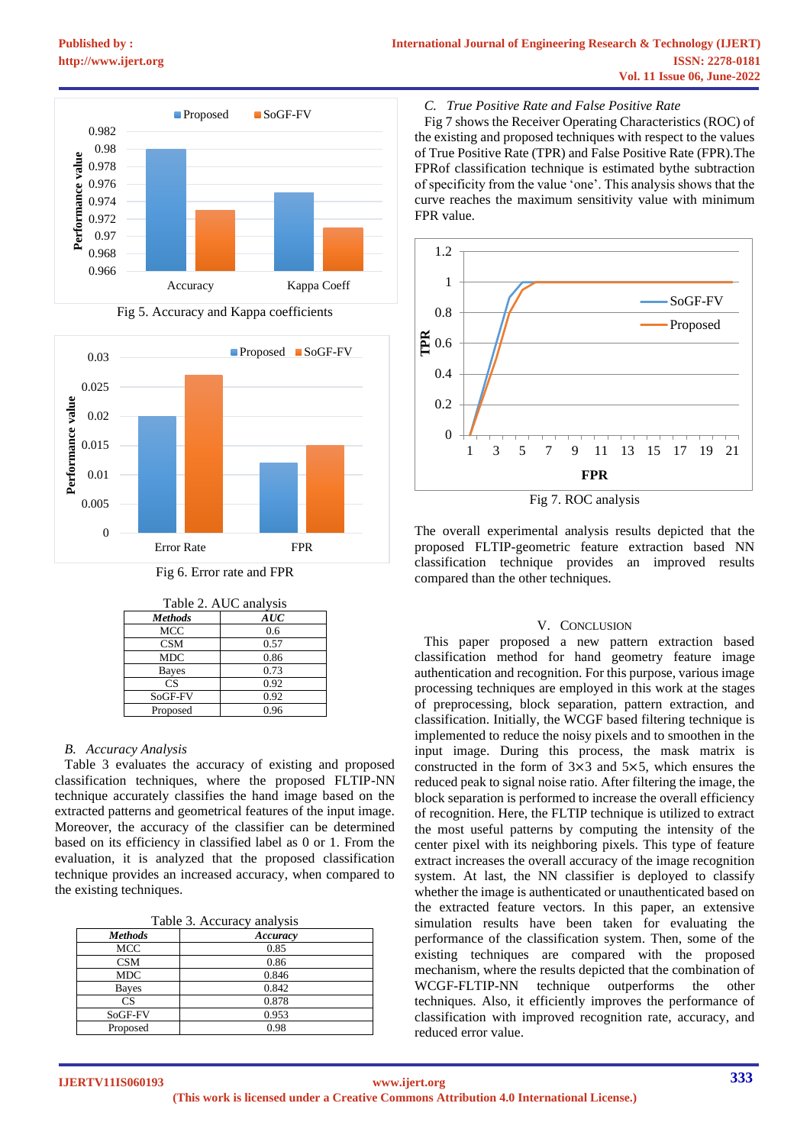



Fig 5. Accuracy and Kappa coefficients



| Table 2. AUC analysis |      |  |
|-----------------------|------|--|
| <b>Methods</b>        | AUC  |  |
| MCC                   | 0.6  |  |
| CSM                   | 0.57 |  |
| <b>MDC</b>            | 0.86 |  |
| <b>Bayes</b>          | 0.73 |  |
| CS                    | 0.92 |  |
| SoGF-FV               | 0.92 |  |
| Proposed              | 0.96 |  |

# *B. Accuracy Analysis*

Table 3 evaluates the accuracy of existing and proposed classification techniques, where the proposed FLTIP-NN technique accurately classifies the hand image based on the extracted patterns and geometrical features of the input image. Moreover, the accuracy of the classifier can be determined based on its efficiency in classified label as 0 or 1. From the evaluation, it is analyzed that the proposed classification technique provides an increased accuracy, when compared to the existing techniques.

Table 3. Accuracy analysis

| <b>Methods</b> | Accuracy |  |
|----------------|----------|--|
| MCC            | 0.85     |  |
| CSM            | 0.86     |  |
| <b>MDC</b>     | 0.846    |  |
| <b>Bayes</b>   | 0.842    |  |
| <b>CS</b>      | 0.878    |  |
| SoGF-FV        | 0.953    |  |
| Proposed       | 0.98     |  |
|                |          |  |

# *C. True Positive Rate and False Positive Rate*

Fig 7 shows the Receiver Operating Characteristics (ROC) of the existing and proposed techniques with respect to the values of True Positive Rate (TPR) and False Positive Rate (FPR).The FPRof classification technique is estimated bythe subtraction of specificity from the value 'one'. This analysis shows that the curve reaches the maximum sensitivity value with minimum FPR value.



Fig 7. ROC analysis

The overall experimental analysis results depicted that the proposed FLTIP-geometric feature extraction based NN classification technique provides an improved results compared than the other techniques.

# V. CONCLUSION

This paper proposed a new pattern extraction based classification method for hand geometry feature image authentication and recognition. For this purpose, various image processing techniques are employed in this work at the stages of preprocessing, block separation, pattern extraction, and classification. Initially, the WCGF based filtering technique is implemented to reduce the noisy pixels and to smoothen in the input image. During this process, the mask matrix is constructed in the form of 3×3 and 5×5, which ensures the reduced peak to signal noise ratio. After filtering the image, the block separation is performed to increase the overall efficiency of recognition. Here, the FLTIP technique is utilized to extract the most useful patterns by computing the intensity of the center pixel with its neighboring pixels. This type of feature extract increases the overall accuracy of the image recognition system. At last, the NN classifier is deployed to classify whether the image is authenticated or unauthenticated based on the extracted feature vectors. In this paper, an extensive simulation results have been taken for evaluating the performance of the classification system. Then, some of the existing techniques are compared with the proposed mechanism, where the results depicted that the combination of WCGF-FLTIP-NN technique outperforms the other techniques. Also, it efficiently improves the performance of classification with improved recognition rate, accuracy, and reduced error value.